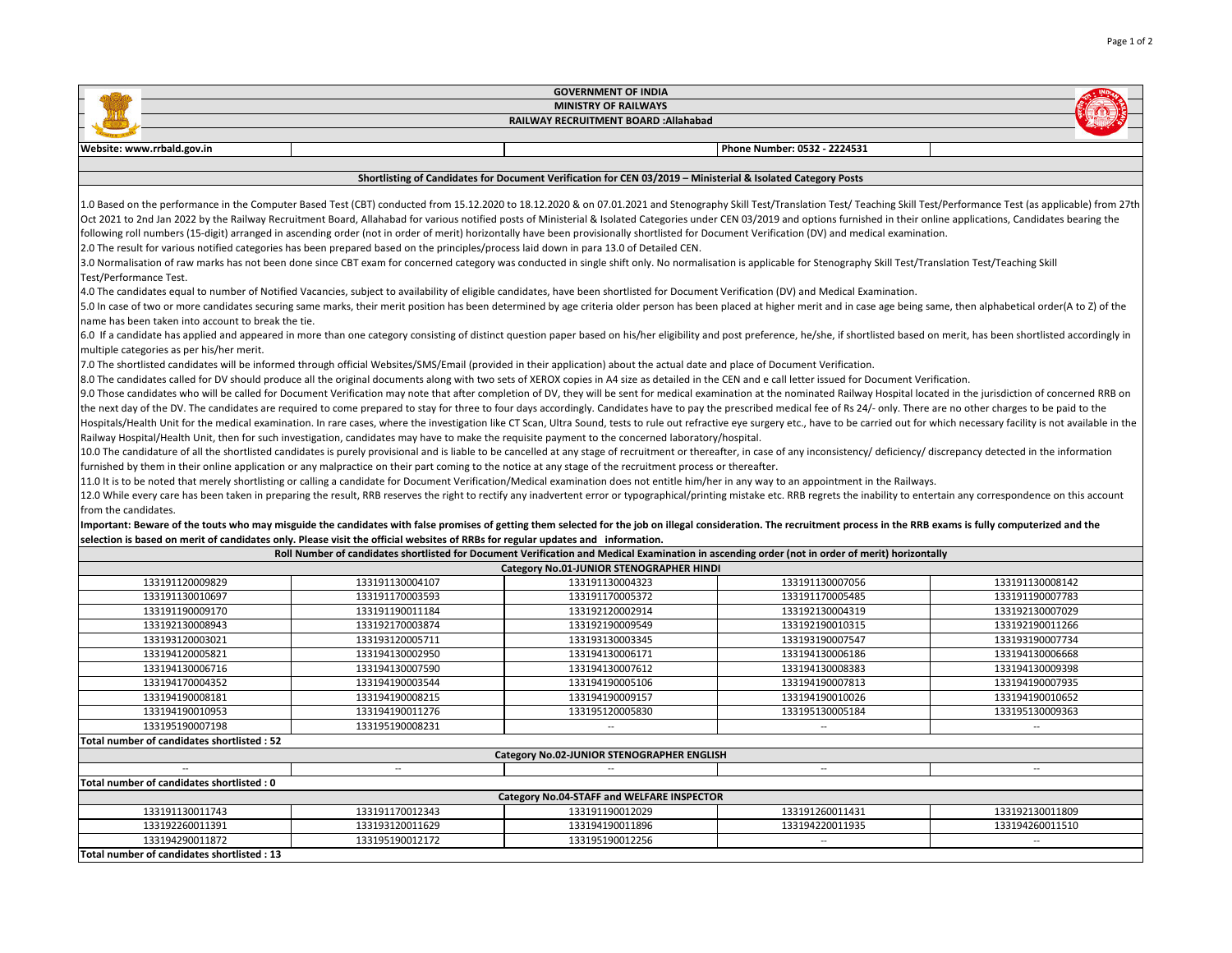| <b>GOVERNMENT OF INDIA</b>                                                                                                                                                                                                                                                                                                                                                           |                                                                                                                                                                                                                                |                                            |                              |                 |  |  |  |
|--------------------------------------------------------------------------------------------------------------------------------------------------------------------------------------------------------------------------------------------------------------------------------------------------------------------------------------------------------------------------------------|--------------------------------------------------------------------------------------------------------------------------------------------------------------------------------------------------------------------------------|--------------------------------------------|------------------------------|-----------------|--|--|--|
| <b>MINISTRY OF RAILWAYS</b>                                                                                                                                                                                                                                                                                                                                                          |                                                                                                                                                                                                                                |                                            |                              |                 |  |  |  |
| RAILWAY RECRUITMENT BOARD : Allahabad                                                                                                                                                                                                                                                                                                                                                |                                                                                                                                                                                                                                |                                            |                              |                 |  |  |  |
| Website: www.rrbald.gov.in                                                                                                                                                                                                                                                                                                                                                           |                                                                                                                                                                                                                                |                                            | Phone Number: 0532 - 2224531 |                 |  |  |  |
|                                                                                                                                                                                                                                                                                                                                                                                      |                                                                                                                                                                                                                                |                                            |                              |                 |  |  |  |
| Shortlisting of Candidates for Document Verification for CEN 03/2019 - Ministerial & Isolated Category Posts                                                                                                                                                                                                                                                                         |                                                                                                                                                                                                                                |                                            |                              |                 |  |  |  |
| 1.0 Based on the performance in the Computer Based Test (CBT) conducted from 15.12.2020 to 18.12.2020 & on 07.01.2021 and Stenography Skill Test/Translation Test/Teaching Skill Test/Performance Test (as applicable) from 27                                                                                                                                                       |                                                                                                                                                                                                                                |                                            |                              |                 |  |  |  |
| Oct 2021 to 2nd Jan 2022 by the Railway Recruitment Board, Allahabad for various notified posts of Ministerial & Isolated Categories under CEN 03/2019 and options furnished in their online applications, Candidates bearing                                                                                                                                                        |                                                                                                                                                                                                                                |                                            |                              |                 |  |  |  |
| following roll numbers (15-digit) arranged in ascending order (not in order of merit) horizontally have been provisionally shortlisted for Document Verification (DV) and medical examination.                                                                                                                                                                                       |                                                                                                                                                                                                                                |                                            |                              |                 |  |  |  |
| 2.0 The result for various notified categories has been prepared based on the principles/process laid down in para 13.0 of Detailed CEN.                                                                                                                                                                                                                                             |                                                                                                                                                                                                                                |                                            |                              |                 |  |  |  |
| 3.0 Normalisation of raw marks has not been done since CBT exam for concerned category was conducted in single shift only. No normalisation is applicable for Stenography Skill Test/Translation Test/Teaching Skill<br>Test/Performance Test.                                                                                                                                       |                                                                                                                                                                                                                                |                                            |                              |                 |  |  |  |
| 4.0 The candidates equal to number of Notified Vacancies, subject to availability of eligible candidates, have been shortlisted for Document Verification (DV) and Medical Examination.                                                                                                                                                                                              |                                                                                                                                                                                                                                |                                            |                              |                 |  |  |  |
| 5.0 In case of two or more candidates securing same marks, their merit position has been determined by age criteria older person has been placed at higher merit and in case age being same, then alphabetical order(A to Z) o                                                                                                                                                       |                                                                                                                                                                                                                                |                                            |                              |                 |  |  |  |
| name has been taken into account to break the tie.                                                                                                                                                                                                                                                                                                                                   |                                                                                                                                                                                                                                |                                            |                              |                 |  |  |  |
| 6.0 If a candidate has applied and appeared in more than one category consisting of distinct question paper based on his/her eligibility and post preference, he/she, if shortlisted based on merit, has been shortlisted acco                                                                                                                                                       |                                                                                                                                                                                                                                |                                            |                              |                 |  |  |  |
| multiple categories as per his/her merit.                                                                                                                                                                                                                                                                                                                                            |                                                                                                                                                                                                                                |                                            |                              |                 |  |  |  |
| 7.0 The shortlisted candidates will be informed through official Websites/SMS/Email (provided in their application) about the actual date and place of Document Verification.                                                                                                                                                                                                        |                                                                                                                                                                                                                                |                                            |                              |                 |  |  |  |
| 8.0 The candidates called for DV should produce all the original documents along with two sets of XEROX copies in A4 size as detailed in the CEN and e call letter issued for Document Verification.                                                                                                                                                                                 |                                                                                                                                                                                                                                |                                            |                              |                 |  |  |  |
|                                                                                                                                                                                                                                                                                                                                                                                      | 9.0 Those candidates who will be called for Document Verification may note that after completion of DV, they will be sent for medical examination at the nominated Railway Hospital located in the jurisdiction of concerned R |                                            |                              |                 |  |  |  |
|                                                                                                                                                                                                                                                                                                                                                                                      | the next day of the DV. The candidates are required to come prepared to stay for three to four days accordingly. Candidates have to pay the prescribed medical fee of Rs 24/- only. There are no other charges to be paid to t |                                            |                              |                 |  |  |  |
| Hospitals/Health Unit for the medical examination. In rare cases, where the investigation like CT Scan, Ultra Sound, tests to rule out refractive eye surgery etc., have to be carried out for which necessary facility is not                                                                                                                                                       |                                                                                                                                                                                                                                |                                            |                              |                 |  |  |  |
| Railway Hospital/Health Unit, then for such investigation, candidates may have to make the requisite payment to the concerned laboratory/hospital.<br>10.0 The candidature of all the shortlisted candidates is purely provisional and is liable to be cancelled at any stage of recruitment or thereafter, in case of any inconsistency/ deficiency/ discrepancy detected in the in |                                                                                                                                                                                                                                |                                            |                              |                 |  |  |  |
|                                                                                                                                                                                                                                                                                                                                                                                      |                                                                                                                                                                                                                                |                                            |                              |                 |  |  |  |
| furnished by them in their online application or any malpractice on their part coming to the notice at any stage of the recruitment process or thereafter.<br>11.0 It is to be noted that merely shortlisting or calling a candidate for Document Verification/Medical examination does not entitle him/her in any way to an appointment in the Railways.                            |                                                                                                                                                                                                                                |                                            |                              |                 |  |  |  |
|                                                                                                                                                                                                                                                                                                                                                                                      |                                                                                                                                                                                                                                |                                            |                              |                 |  |  |  |
| from the candidates.                                                                                                                                                                                                                                                                                                                                                                 | 12.0 While every care has been taken in preparing the result, RRB reserves the right to rectify any inadvertent error or typographical/printing mistake etc. RRB regrets the inability to entertain any correspondence on this |                                            |                              |                 |  |  |  |
|                                                                                                                                                                                                                                                                                                                                                                                      | Important: Beware of the touts who may misguide the candidates with false promises of getting them selected for the job on illegal consideration. The recruitment process in the RRB exams is fully computerized and the       |                                            |                              |                 |  |  |  |
|                                                                                                                                                                                                                                                                                                                                                                                      | selection is based on merit of candidates only. Please visit the official websites of RRBs for regular updates and information.                                                                                                |                                            |                              |                 |  |  |  |
|                                                                                                                                                                                                                                                                                                                                                                                      | Roll Number of candidates shortlisted for Document Verification and Medical Examination in ascending order (not in order of merit) horizontally                                                                                |                                            |                              |                 |  |  |  |
|                                                                                                                                                                                                                                                                                                                                                                                      |                                                                                                                                                                                                                                | Category No.01-JUNIOR STENOGRAPHER HINDI   |                              |                 |  |  |  |
| 133191120009829                                                                                                                                                                                                                                                                                                                                                                      | 133191130004107                                                                                                                                                                                                                | 133191130004323                            | 133191130007056              | 133191130008142 |  |  |  |
| 133191130010697                                                                                                                                                                                                                                                                                                                                                                      | 133191170003593                                                                                                                                                                                                                | 133191170005372                            | 133191170005485              | 133191190007783 |  |  |  |
| 133191190009170                                                                                                                                                                                                                                                                                                                                                                      | 133191190011184                                                                                                                                                                                                                | 133192120002914                            | 133192130004319              | 133192130007029 |  |  |  |
| 133192130008943                                                                                                                                                                                                                                                                                                                                                                      | 133192170003874                                                                                                                                                                                                                | 133192190009549                            | 133192190010315              | 133192190011266 |  |  |  |
| 133193120003021                                                                                                                                                                                                                                                                                                                                                                      | 133193120005711                                                                                                                                                                                                                | 133193130003345                            | 133193190007547              | 133193190007734 |  |  |  |
| 133194120005821                                                                                                                                                                                                                                                                                                                                                                      | 133194130002950                                                                                                                                                                                                                | 133194130006171                            | 133194130006186              | 133194130006668 |  |  |  |
| 133194130006716                                                                                                                                                                                                                                                                                                                                                                      | 133194130007590                                                                                                                                                                                                                | 133194130007612                            | 133194130008383              | 133194130009398 |  |  |  |
| 133194170004352                                                                                                                                                                                                                                                                                                                                                                      | 133194190003544                                                                                                                                                                                                                | 133194190005106                            | 133194190007813              | 133194190007935 |  |  |  |
| 133194190008181                                                                                                                                                                                                                                                                                                                                                                      | 133194190008215                                                                                                                                                                                                                | 133194190009157                            | 133194190010026              | 133194190010652 |  |  |  |
| 133194190010953                                                                                                                                                                                                                                                                                                                                                                      | 133194190011276                                                                                                                                                                                                                | 133195120005830                            | 133195130005184              | 133195130009363 |  |  |  |
| 133195190007198                                                                                                                                                                                                                                                                                                                                                                      | 133195190008231                                                                                                                                                                                                                | $\sim$                                     | $\sim$                       | $\sim$          |  |  |  |
| Total number of candidates shortlisted: 52                                                                                                                                                                                                                                                                                                                                           |                                                                                                                                                                                                                                |                                            |                              |                 |  |  |  |
| Category No.02-JUNIOR STENOGRAPHER ENGLISH                                                                                                                                                                                                                                                                                                                                           |                                                                                                                                                                                                                                |                                            |                              |                 |  |  |  |
|                                                                                                                                                                                                                                                                                                                                                                                      | $\sim$                                                                                                                                                                                                                         | $\sim$                                     | $\sim$                       | $\sim$          |  |  |  |
| Total number of candidates shortlisted : 0                                                                                                                                                                                                                                                                                                                                           |                                                                                                                                                                                                                                |                                            |                              |                 |  |  |  |
|                                                                                                                                                                                                                                                                                                                                                                                      |                                                                                                                                                                                                                                | Category No.04-STAFF and WELFARE INSPECTOR |                              |                 |  |  |  |
| 133191130011743                                                                                                                                                                                                                                                                                                                                                                      | 133191170012343                                                                                                                                                                                                                | 133191190012029                            | 133191260011431              | 133192130011809 |  |  |  |
| 133192260011391                                                                                                                                                                                                                                                                                                                                                                      | 133193120011629                                                                                                                                                                                                                | 133194190011896                            | 133194220011935              | 133194260011510 |  |  |  |
| 133194290011872                                                                                                                                                                                                                                                                                                                                                                      | 133195190012172                                                                                                                                                                                                                | 133195190012256                            | $\sim$                       | $\sim$          |  |  |  |
| Total number of candidates shortlisted: 13                                                                                                                                                                                                                                                                                                                                           |                                                                                                                                                                                                                                |                                            |                              |                 |  |  |  |